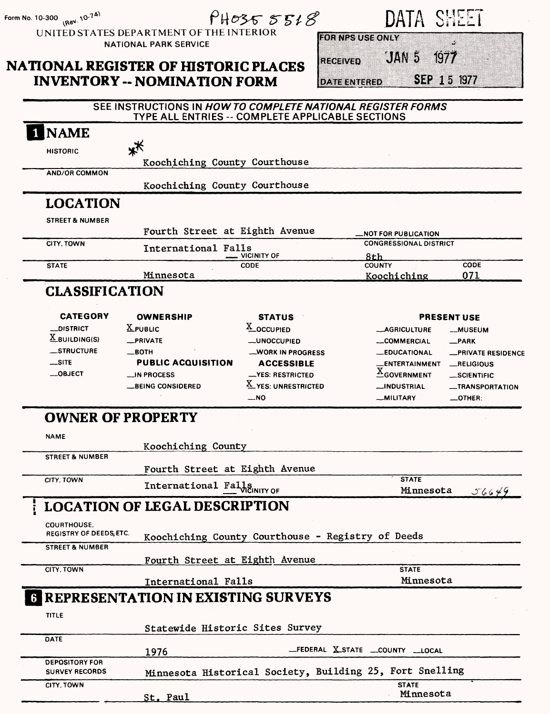| Form No. 10-300 (Rev. 10-74)              |                                                                                                                 | PH03555518                                     |                         | DATA SHEET                                  |                                          |
|-------------------------------------------|-----------------------------------------------------------------------------------------------------------------|------------------------------------------------|-------------------------|---------------------------------------------|------------------------------------------|
|                                           | UNITED STATES DEPARTMENT OF THE INTERIOR<br><b>NATIONAL PARK SERVICE</b>                                        |                                                | <b>FOR NPS USE ONLY</b> |                                             |                                          |
|                                           |                                                                                                                 |                                                | <b>ELGEWED</b>          | JAN 5                                       | 1977                                     |
|                                           | <b>NATIONAL REGISTER OF HISTORIC PLACES</b>                                                                     |                                                |                         |                                             | SEP 15 1977                              |
|                                           | <b>INVENTORY -- NOMINATION FORM</b>                                                                             |                                                | <b>DATE ENTERED</b>     |                                             |                                          |
|                                           | SEE INSTRUCTIONS IN HOW TO COMPLETE NATIONAL REGISTER FORMS<br>TYPE ALL ENTRIES -- COMPLETE APPLICABLE SECTIONS |                                                |                         |                                             |                                          |
| <b>NAME</b>                               |                                                                                                                 |                                                |                         |                                             |                                          |
| <b>HISTORIC</b>                           | **                                                                                                              |                                                |                         |                                             |                                          |
| <b>AND/OR COMMON</b>                      | Koochiching County Courthouse                                                                                   |                                                |                         |                                             |                                          |
|                                           | Koochiching County Courthouse                                                                                   |                                                |                         |                                             |                                          |
| <b>LOCATION</b>                           |                                                                                                                 |                                                |                         |                                             |                                          |
| <b>STREET &amp; NUMBER</b>                |                                                                                                                 |                                                |                         |                                             |                                          |
|                                           | Fourth Street at Eighth Avenue                                                                                  |                                                |                         | <b>NOT FOR PUBLICATION.</b>                 |                                          |
| CITY, TOWN                                | International Falls                                                                                             |                                                |                         | <b>CONGRESSIONAL DISTRICT</b>               |                                          |
| <b>STATE</b>                              |                                                                                                                 | VICINITY OF<br>CODE                            |                         | 8th<br><b>COUNTY</b>                        | CODE                                     |
|                                           | Minnesota                                                                                                       |                                                |                         | Koochiching                                 | 071                                      |
| <b>CLASSIFICATION</b>                     |                                                                                                                 |                                                |                         |                                             |                                          |
| <b>CATEGORY</b>                           | <b>OWNERSHIP</b>                                                                                                | <b>STATUS</b>                                  |                         |                                             | <b>PRESENT USE</b>                       |
| <b>_DISTRICT</b>                          | $X$ PUBLIC                                                                                                      | X_OCCUPIED                                     |                         | __AGRICULTURE                               | -MUSEUM                                  |
| $\underline{X}$ BUILDING(S)<br>_STRUCTURE | _PRIVATE<br>__вотн                                                                                              | <b>__UNOCCUPIED</b><br><b>WORK IN PROGRESS</b> |                         | <b>__COMMERCIAL</b><br><b>__EDUCATIONAL</b> | __PARK                                   |
| $\overline{\phantom{a}}$ SITE             | <b>PUBLIC ACQUISITION</b>                                                                                       | <b>ACCESSIBLE</b>                              |                         | _ENTERTAINMENT                              | <b>__PRIVATE RESIDENCE</b><br>_RELIGIOUS |
| $-$ OBJECT                                | $\equiv$ IN PROCESS                                                                                             | -YES: RESTRICTED                               |                         | $\underline{\underline{X}}$ GOVERNMENT      | __SCIENTIFIC                             |
|                                           | <b>BEING CONSIDERED</b>                                                                                         | X YES. UNRESTRICTED<br>_NO                     |                         | <b>__INDUSTRIAL</b><br>__MILITARY           | <b>__TRANSPORTATION</b><br>__OTHER:      |
| <b>OWNER OF PROPERTY</b>                  |                                                                                                                 |                                                |                         |                                             |                                          |
|                                           |                                                                                                                 |                                                |                         |                                             |                                          |
| <b>NAME</b>                               | Koochiching County                                                                                              |                                                |                         |                                             |                                          |
| <b>STREET &amp; NUMBER</b>                |                                                                                                                 |                                                |                         |                                             |                                          |
| CITY, TOWN                                | Fourth Street at Eighth Avenue                                                                                  |                                                |                         | <b>STATE</b>                                |                                          |
|                                           | International Falls                                                                                             |                                                |                         | Minnesota                                   | 56649                                    |
|                                           | <b>LOCATION OF LEGAL DESCRIPTION</b>                                                                            |                                                |                         |                                             |                                          |
| <b>COURTHOUSE.</b>                        |                                                                                                                 |                                                |                         |                                             |                                          |
| REGISTRY OF DEEDS, ETC.                   | Koochiching County Courthouse - Registry of Deeds                                                               |                                                |                         |                                             |                                          |
| <b>STREET &amp; NUMBER</b>                |                                                                                                                 |                                                |                         |                                             |                                          |
| CITY, TOWN                                | Fourth Street at Eighth Avenue                                                                                  |                                                |                         | <b>STATE</b>                                |                                          |
|                                           | International Falls                                                                                             |                                                |                         | Minnesota                                   |                                          |
|                                           | <b>6 REPRESENTATION IN EXISTING SURVEYS</b>                                                                     |                                                |                         |                                             |                                          |
| <b>TITLE</b>                              |                                                                                                                 |                                                |                         |                                             |                                          |
|                                           | Statewide Historic Sites Survey                                                                                 |                                                |                         |                                             |                                          |
| <b>DATE</b>                               |                                                                                                                 |                                                |                         |                                             |                                          |
| <b>DEPOSITORY FOR</b>                     | 1976                                                                                                            |                                                |                         | _FEDERAL X_STATE __COUNTY __LOCAL           |                                          |
| <b>SURVEY RECORDS</b>                     | Minnesota Historical Society, Building 25, Fort Snelling                                                        |                                                |                         |                                             |                                          |
| CITY, TOWN                                |                                                                                                                 |                                                |                         | <b>STATE</b>                                |                                          |
|                                           | <u>St. Paul</u>                                                                                                 |                                                |                         | Minnesota                                   |                                          |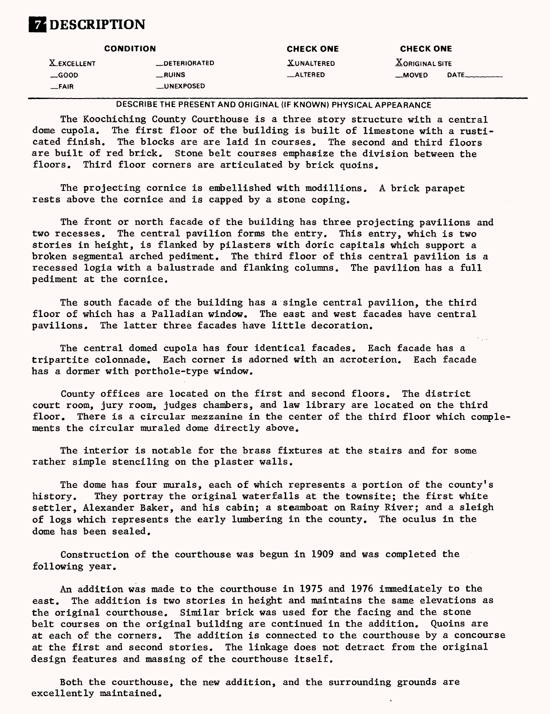### **ZDESCRIPTION**

|                    | <b>CONDITION</b>      | <b>CHECK ONE</b> | <b>CHECK ONE</b>                     |      |
|--------------------|-----------------------|------------------|--------------------------------------|------|
| <b>X_EXCELLENT</b> | <b>__DETERIORATED</b> | XUNALTERED       | $\underline{\text{X}}$ ORIGINAL SITE |      |
| $\equiv$ GOOD      | __RUINS               | _ALTERED         | __MOVED                              | DATE |
| __FAIR_            | <b>LUNEXPOSED</b>     |                  |                                      |      |

DESCRIBE THE PRESENT AND ORIGINAL (IF KNOWN) PHYSICAL APPEARANCE

The Koochiching County Courthouse is a three story structure with a central dome cupola. The first floor of the building is built of limestone with a rusticated finish. The blocks are are laid in courses. The second and third floors are built of red brick. Stone belt courses emphasize the division between the floors. Third floor corners are articulated by brick quoins.

The projecting cornice is embellished with modillions. A brick parapet rests above the cornice and is capped by a stone coping.

The front or north facade of the building has three projecting pavilions and two recesses. The central pavilion forms the entry. This entry, which is two stories in height, is flanked by pilasters with doric capitals which support a broken segmental arched pediment. The third floor of this central pavilion is a recessed logia with a balustrade and flanking columns. The pavilion has a full pediment at the cornice.

The south facade of the building has a single central pavilion, the third floor of which has a Palladian window. The east and west facades have central pavilions. The latter three facades have little decoration.

The central domed cupola has four identical facades. Each facade has a tripartite colonnade. Each corner is adorned with an acroterion. Each facade has a dormer with porthole-type window.

County offices are located on the first and second floors. The district court room, jury room, judges chambers, and law library are located on the third floor. There is a circular mezzanine in the center of the third floor which complements the circular muraled dome directly above.

The interior is notable for the brass fixtures at the stairs and for some rather simple stenciling on the plaster walls.

The dome has four murals, each of which represents a portion of the county's history. They portray the original waterfalls at the townsite; the first white settler, Alexander Baker, and his cabin; a steamboat on Rainy River; and a sleigh of logs which represents the early lumbering in the county. The oculus in the dome has been sealed.

Construction of the courthouse was begun in 1909 and was completed the following year.

An addition was made to the courthouse in 1975 and 1976 immediately to the east. The addition is two stories in height and maintains the same elevations as the original courthouse. Similar brick was used for the facing and the stone belt courses on the original building are continued in the addition. Quoins are at each of the corners. The addition is connected to the courthouse by a concourse at the first and second stories. The linkage does not detract from the original design features and massing of the courthouse itself.

Both the courthouse, the new addition, and the surrounding grounds are excellently maintained.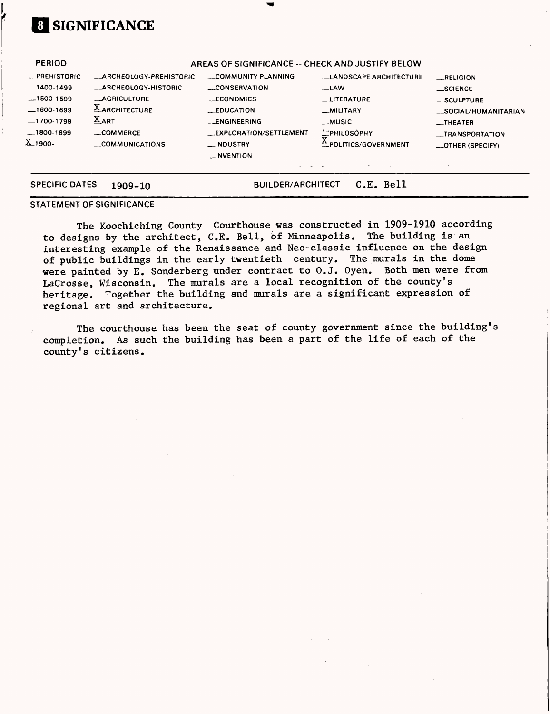## **0] SIGNIFICANCE**

Ï

| <b>PERIOD</b>                                                                                                    |                                                                                                                                                          | AREAS OF SIGNIFICANCE -- CHECK AND JUSTIFY BELOW                                                                                                                 |                                                                                                                                            |                                                                                                                                       |
|------------------------------------------------------------------------------------------------------------------|----------------------------------------------------------------------------------------------------------------------------------------------------------|------------------------------------------------------------------------------------------------------------------------------------------------------------------|--------------------------------------------------------------------------------------------------------------------------------------------|---------------------------------------------------------------------------------------------------------------------------------------|
| <b>_PREHISTORIC</b><br>$-1400-1499$<br>$-1500-1599$<br>$-1600-1699$<br>$-1700-1799$<br>$-1800 - 1899$<br>X_1900- | <b>_ARCHEOLOGY-PREHISTORIC</b><br><b>_ARCHEOLOGY-HISTORIC</b><br><b>_AGRICULTURE</b><br><b>XARCHITECTURE</b><br>$X_{ART}$<br>_COMMERCE<br>COMMUNICATIONS | COMMUNITY PLANNING<br><b>CONSERVATION</b><br>__ECONOMICS<br>$LEDUCA$ $T10N$<br>__ENGINEERING<br>__EXPLORATION/SETTLEMENT<br><b>LINDUSTRY</b><br>$\Box$ INVENTION | <b>LANDSCAPE ARCHITECTURE</b><br>$-LAW$<br><b>LITERATURE</b><br><b>MILITARY</b><br>$-MUSIC$<br><b>MPHILOSOPHY</b><br>EPOLITICS/GOVERNMENT_ | RELIGION<br>$\equiv$ SCIENCE<br>_SCULPTURE<br>_SOCIAL/HUMANITARIAN<br><b>__THEATER</b><br><b>__TRANSPORTATION</b><br>_OTHER (SPECIFY) |
| <b>SPECIFIC DATES</b>                                                                                            | 1909-10                                                                                                                                                  | <b>BUILDER/ARCHITECT</b>                                                                                                                                         | C.E. Bell                                                                                                                                  |                                                                                                                                       |

#### STATEMENT OF SIGNIFICANCE

The Koochiching County Courthouse was constructed in 1909-1910 according to designs by the architect, C.E. Bell, of Minneapolis. The building is an interesting example of the Renaissance and Neo-classic influence on the design of public buildings in the early twentieth century. The murals in the dome were painted by E. Sonderberg under contract to O.J. Oyen. Both men were from LaCrosse, Wisconsin. The murals are a local recognition of the county's heritage. Together the building and murals are a significant expression of regional art and architecture.

The courthouse has been the seat of county government since the building's completion. As such the building has been a part of the life of each of the county's citizens.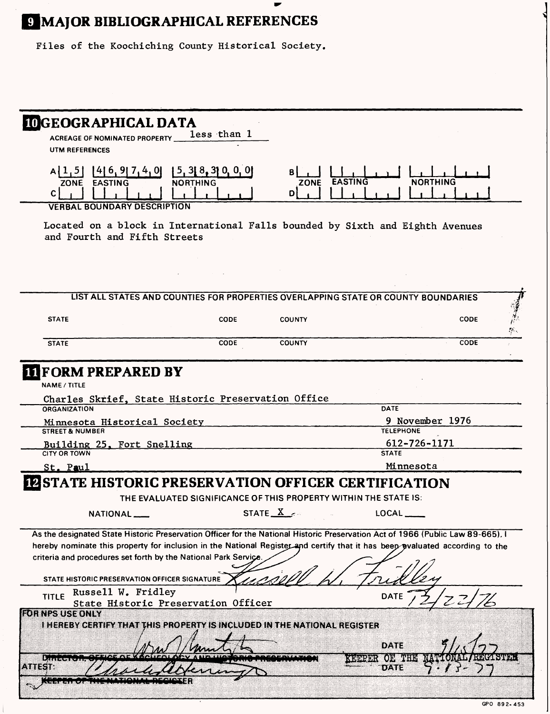# **Q MAJOR BIBLIOGRAPHICAL REFERENCES**

Ĺ

Files of the Koochiching County Historical Society.

| <b>IOGEOGRAPHICAL DATA</b>                                                                                                                                                                                                                                                                                                        | less than 1                             |                       |                                                                  |                 |
|-----------------------------------------------------------------------------------------------------------------------------------------------------------------------------------------------------------------------------------------------------------------------------------------------------------------------------------|-----------------------------------------|-----------------------|------------------------------------------------------------------|-----------------|
| <b>ACREAGE OF NOMINATED PROPERTY</b><br>UTM REFERENCES                                                                                                                                                                                                                                                                            |                                         |                       |                                                                  |                 |
| 416, 917, 4, 01<br> 1, 5 <br><b>EASTING</b><br><b>ZONE</b><br>С<br><b>VERBAL BOUNDARY DESCRIPTION</b>                                                                                                                                                                                                                             | 5, 3[ 8, 3] 0, 0, 0 <br><b>NORTHING</b> | в<br><b>ZONE</b><br>D | <b>EASTING</b>                                                   | <b>NORTHING</b> |
| Located on a block in International Falls bounded by Sixth and Eighth Avenues<br>and Fourth and Fifth Streets                                                                                                                                                                                                                     |                                         |                       |                                                                  |                 |
|                                                                                                                                                                                                                                                                                                                                   |                                         |                       |                                                                  |                 |
| LIST ALL STATES AND COUNTIES FOR PROPERTIES OVERLAPPING STATE OR COUNTY BOUNDARIES                                                                                                                                                                                                                                                |                                         |                       |                                                                  |                 |
| <b>STATE</b>                                                                                                                                                                                                                                                                                                                      | CODE                                    | <b>COUNTY</b>         |                                                                  | <b>CODE</b>     |
| <b>STATE</b>                                                                                                                                                                                                                                                                                                                      | <b>CODE</b>                             | <b>COUNTY</b>         |                                                                  | <b>CODE</b>     |
| <b>FORM PREPARED BY</b><br><b>NAME / TITLE</b><br>Charles Skrief, State Historic Preservation Office<br><b>ORGANIZATION</b>                                                                                                                                                                                                       |                                         |                       | DATE                                                             |                 |
| Minnesota Historical Society<br><b>STREET &amp; NUMBER</b><br>Building 25, Fort Snelling<br><b>CITY OR TOWN</b>                                                                                                                                                                                                                   |                                         |                       | <b>TELEPHONE</b><br>612-726-1171<br><b>STATE</b>                 | 9 November 1976 |
| St. Paul                                                                                                                                                                                                                                                                                                                          |                                         |                       | Minnesota                                                        |                 |
| <b>INSTATE HISTORIC PRESERVATION OFFICER CERTIFICATION</b>                                                                                                                                                                                                                                                                        |                                         |                       | THE EVALUATED SIGNIFICANCE OF THIS PROPERTY WITHIN THE STATE IS: |                 |
| NATIONAL <sub>-</sub>                                                                                                                                                                                                                                                                                                             |                                         | STATE $X \rightarrow$ | LOCAL                                                            |                 |
| As the designated State Historic Preservation Officer for the National Historic Preservation Act of 1966 (Public Law 89-665). I<br>hereby nominate this property for inclusion in the National Register and certify that it has beep pvaluated according to the<br>criteria and procedures set forth by the National Park Service |                                         |                       |                                                                  |                 |
| STATE HISTORIC PRESERVATION OFFICER SIGNATURE<br>Russell W. Fridley                                                                                                                                                                                                                                                               |                                         |                       |                                                                  |                 |
| <b>TITLE</b><br>State Historic Preservation Officer<br><b>FOR NPS USE ONLY</b><br>I HEREBY CERTIFY THAT THIS PROPERTY IS INCLUDED IN THE NATIONAL REGISTER                                                                                                                                                                        |                                         |                       | <b>DATE</b>                                                      |                 |
|                                                                                                                                                                                                                                                                                                                                   |                                         |                       | DATE                                                             |                 |